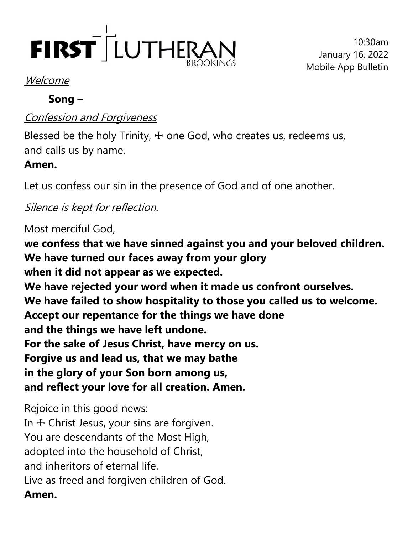

10:30am January 16, 2022 Mobile App Bulletin

#### Welcome

### **Song –**

## Confession and Forgiveness

Blessed be the holy Trinity,  $+$  one God, who creates us, redeems us, and calls us by name.

# **Amen.**

Let us confess our sin in the presence of God and of one another.

Silence is kept for reflection.

Most merciful God,

**we confess that we have sinned against you and your beloved children. We have turned our faces away from your glory when it did not appear as we expected. We have rejected your word when it made us confront ourselves. We have failed to show hospitality to those you called us to welcome. Accept our repentance for the things we have done and the things we have left undone. For the sake of Jesus Christ, have mercy on us. Forgive us and lead us, that we may bathe in the glory of your Son born among us, and reflect your love for all creation. Amen.**

Rejoice in this good news: In  $+$  Christ Jesus, your sins are forgiven. You are descendants of the Most High, adopted into the household of Christ, and inheritors of eternal life. Live as freed and forgiven children of God. **Amen.**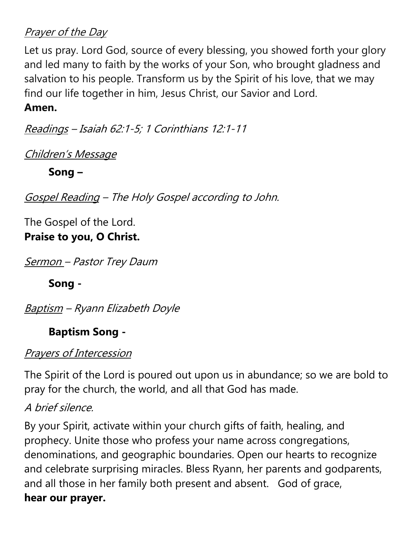### Prayer of the Day

Let us pray. Lord God, source of every blessing, you showed forth your glory and led many to faith by the works of your Son, who brought gladness and salvation to his people. Transform us by the Spirit of his love, that we may find our life together in him, Jesus Christ, our Savior and Lord.

#### **Amen.**

Readings – Isaiah 62:1-5; 1 Corinthians 12:1-11

Children's Message

**Song –**

Gospel Reading – The Holy Gospel according to John.

The Gospel of the Lord. **Praise to you, O Christ.**

Sermon - Pastor Trey Daum

**Song -**

Baptism – Ryann Elizabeth Doyle

# **Baptism Song -**

## Prayers of Intercession

The Spirit of the Lord is poured out upon us in abundance; so we are bold to pray for the church, the world, and all that God has made.

## A brief silence.

By your Spirit, activate within your church gifts of faith, healing, and prophecy. Unite those who profess your name across congregations, denominations, and geographic boundaries. Open our hearts to recognize and celebrate surprising miracles. Bless Ryann, her parents and godparents, and all those in her family both present and absent. God of grace, **hear our prayer.**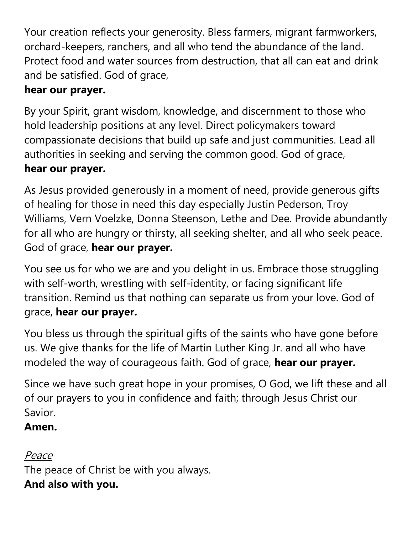Your creation reflects your generosity. Bless farmers, migrant farmworkers, orchard-keepers, ranchers, and all who tend the abundance of the land. Protect food and water sources from destruction, that all can eat and drink and be satisfied. God of grace,

## **hear our prayer.**

By your Spirit, grant wisdom, knowledge, and discernment to those who hold leadership positions at any level. Direct policymakers toward compassionate decisions that build up safe and just communities. Lead all authorities in seeking and serving the common good. God of grace,

## **hear our prayer.**

As Jesus provided generously in a moment of need, provide generous gifts of healing for those in need this day especially Justin Pederson, Troy Williams, Vern Voelzke, Donna Steenson, Lethe and Dee. Provide abundantly for all who are hungry or thirsty, all seeking shelter, and all who seek peace. God of grace, **hear our prayer.**

You see us for who we are and you delight in us. Embrace those struggling with self-worth, wrestling with self-identity, or facing significant life transition. Remind us that nothing can separate us from your love. God of grace, **hear our prayer.** 

You bless us through the spiritual gifts of the saints who have gone before us. We give thanks for the life of Martin Luther King Jr. and all who have modeled the way of courageous faith. God of grace, **hear our prayer.**

Since we have such great hope in your promises, O God, we lift these and all of our prayers to you in confidence and faith; through Jesus Christ our Savior.

## **Amen.**

# Peace

The peace of Christ be with you always. **And also with you.**